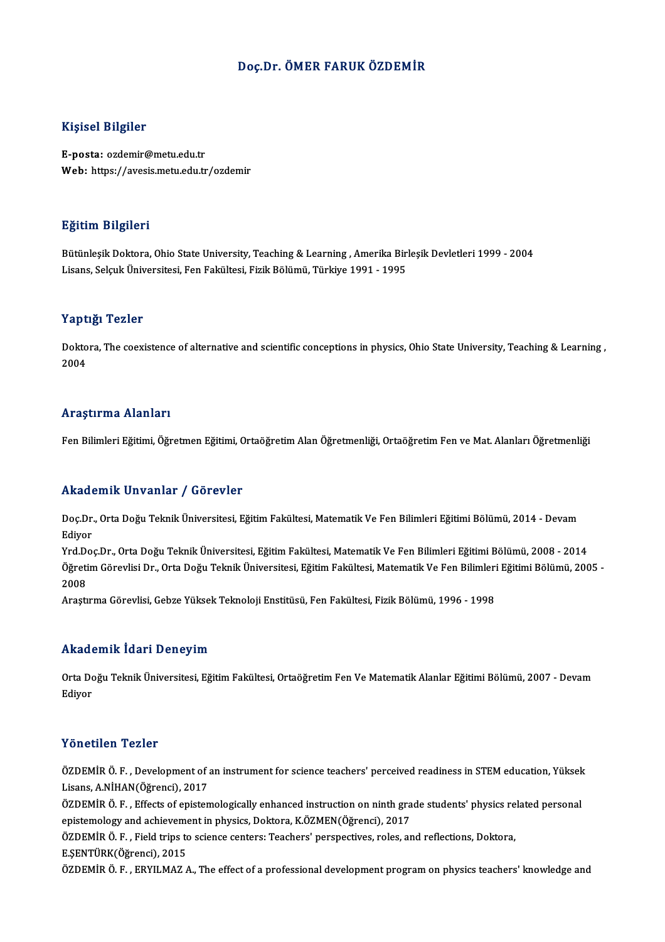## Doç.Dr. ÖMER FARUK ÖZDEMİR

## Kişisel Bilgiler

E-posta: ozdemir@metu.edu.tr Web: https://avesis.metu.edu.tr/ozdemir

### Eğitim Bilgileri

<mark>Eğitim Bilgileri</mark><br>Bütünleşik Doktora, Ohio State University, Teaching & Learning , Amerika Birleşik Devletleri 1999 - 2004<br>Lisans, Selsuk Üniversitesi, Fen Fekültesi, Firik Bölümü, Türkiye 1991 - 1995 Lisans, Darynor<br>Bütünleşik Doktora, Ohio State University, Teaching & Learning , Amerika Bir<br>Lisans, Selçuk Üniversitesi, Fen Fakültesi, Fizik Bölümü, Türkiye 1991 - 1995 Lisans, Selçuk Üniversitesi, Fen Fakültesi, Fizik Bölümü, Türkiye 1991 - 1995<br>Yaptığı Tezler

Yaptığı Tezler<br>Doktora, The coexistence of alternative and scientific conceptions in physics, Ohio State University, Teaching & Learning ,<br>2004 1 ape<br>Dokto<br>2004

## Araştırma Alanları

Fen Bilimleri Eğitimi, Öğretmen Eğitimi, Ortaöğretim Alan Öğretmenliği, Ortaöğretim Fen ve Mat. Alanları Öğretmenliği

### Akademik Unvanlar / Görevler

**Akademik Unvanlar / Görevler**<br>Doç.Dr., Orta Doğu Teknik Üniversitesi, Eğitim Fakültesi, Matematik Ve Fen Bilimleri Eğitimi Bölümü, 2014 - Devam<br>Ediyor nnaa<br>Doç.Dr.<br>Ediyor Ediyor<br>Yrd.Doç.Dr., Orta Doğu Teknik Üniversitesi, Eğitim Fakültesi, Matematik Ve Fen Bilimleri Eğitimi Bölümü, 2008 - 2014

Ediyor<br>Yrd.Doç.Dr., Orta Doğu Teknik Üniversitesi, Eğitim Fakültesi, Matematik Ve Fen Bilimleri Eğitimi Bölümü, 2008 -<br>Öğretim Görevlisi Dr., Orta Doğu Teknik Üniversitesi, Eğitim Fakültesi, Matematik Ve Fen Bilimleri Eğit Yrd D<br>Öğreti<br>2008<br>Arast 2008<br>Araştırma Görevlisi, Gebze Yüksek Teknoloji Enstitüsü, Fen Fakültesi, Fizik Bölümü, 1996 - 1998

### Akademik İdari Deneyim

**Akademik İdari Deneyim**<br>Orta Doğu Teknik Üniversitesi, Eğitim Fakültesi, Ortaöğretim Fen Ve Matematik Alanlar Eğitimi Bölümü, 2007 - Devam<br>Ediyor rrnaa (<br>Orta Do<br>Ediyor Yönetilen Tezler

Yönetilen Tezler<br>ÖZDEMİR Ö. F. , Development of an instrument for science teachers' perceived readiness in STEM education, Yüksek<br>Lisans, A NittAN(Öğmensi), 2017 TONOCHON TONOT<br>ÖZDEMİR Ö. F. , Development of a<br>Lisans, A.NİHAN(Öğrenci), 2017<br>ÖZDEMİR Ö. E., Effecta of opistan ÖZDEMİR Ö. F. , Development of an instrument for science teachers' perceived readiness in STEM education, Yüksek<br>Lisans, A.NİHAN(Öğrenci), 2017<br>ÖZDEMİR Ö. F. , Effects of epistemologically enhanced instruction on ninth gra

Lisans, A.NİHAN(Öğrenci), 2017<br>ÖZDEMİR Ö. F. , Effects of epistemologically enhanced instruction on ninth grade students' physics related personal<br>epistemology and achievement in physics, Doktora, K.ÖZMEN(Öğrenci), 2017 ÖZDEMİR Ö. F. , Effects of epistemologically enhanced instruction on ninth grade students' physics re<br>epistemology and achievement in physics, Doktora, K.ÖZMEN(Öğrenci), 2017<br>ÖZDEMİR Ö. F. , Field trips to science centers: epistemology and achieveme<br>ÖZDEMİR Ö. F. , Field trips to<br>E.ŞENTÜRK(Öğrenci), 2015<br>ÖZDEMİR Ö. E., EPVILMAZ /

E.ŞENTÜRK(Öğrenci), 2015<br>ÖZDEMİR Ö. F. , ERYILMAZ A., The effect of a professional development program on physics teachers' knowledge and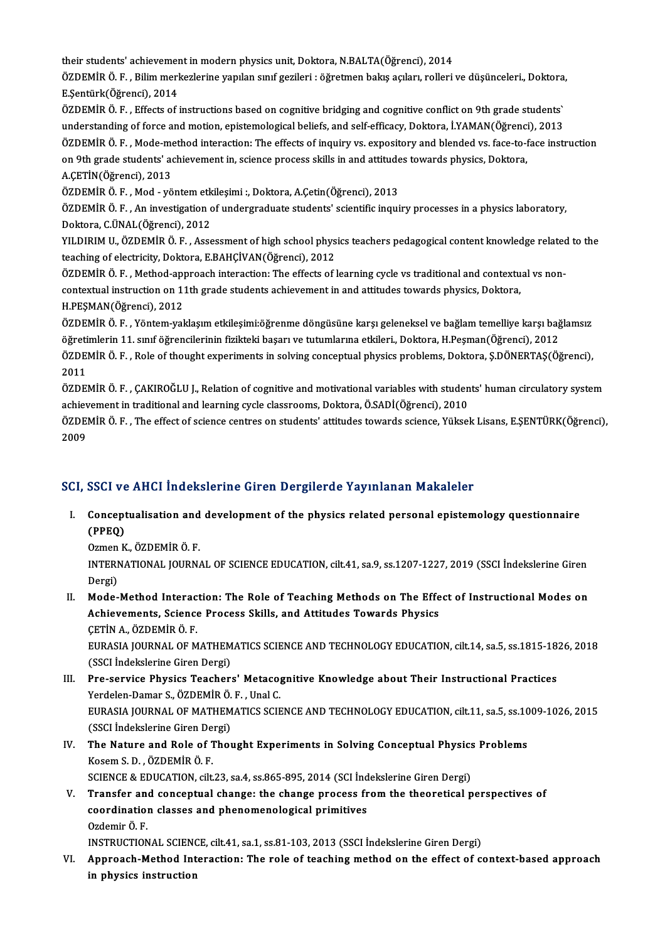their students' achievement in modern physics unit, Doktora, N.BALTA(Öğrenci), 2014 their students' achievement in modern physics unit, Doktora, N.BALTA(Öğrenci), 2014<br>ÖZDEMİR Ö. F. , Bilim merkezlerine yapılan sınıf gezileri : öğretmen bakış açıları, rolleri ve düşünceleri., Doktora, their students' achievemer<br>ÖZDEMİR Ö. F. , Bilim merl<br>E.Şentürk(Öğrenci), 2014<br>ÖZDEMİR Ö. E. , Effecta of i ÖZDEMİR Ö. F. , Bilim merkezlerine yapılan sınıf gezileri : öğretmen bakış açıları, rolleri ve düşünceleri., Doktora<br>E.Şentürk(Öğrenci), 2014<br>ÖZDEMİR Ö. F. , Effects of instructions based on cognitive bridging and cognitiv E.Şentürk(Öğrenci), 2014<br>ÖZDEMİR Ö. F. , Effects of instructions based on cognitive bridging and cognitive conflict on 9th grade students`

ÖZDEMİR Ö.F., Mode-method interaction: The effects of inquiry vs. expository and blended vs. face-to-face instruction understanding of force and motion, epistemological beliefs, and self-efficacy, Doktora, İ.YAMAN(Öğrenci), 2013<br>ÖZDEMİR Ö. F. , Mode-method interaction: The effects of inquiry vs. expository and blended vs. face-to-face ins ÖZDEMİR Ö. F. , Mode-me<br>on 9th grade students' ac<br>A.ÇETİN(Öğrenci), 2013<br>ÖZDEMİR Ö. E. Mod. vö on 9th grade students' achievement in, science process skills in and attitude<br>A.ÇETİN(Öğrenci), 2013<br>ÖZDEMİR Ö. F. , Mod - yöntem etkileşimi :, Doktora, A.Çetin(Öğrenci), 2013<br>ÖZDEMİR Ö. E. , An investisation of undersredu

A.ÇETİN(Öğrenci), 2013<br>ÖZDEMİR Ö. F. , Mod - yöntem etkileşimi :, Doktora, A.Çetin(Öğrenci), 2013<br>ÖZDEMİR Ö. F. , An investigation of undergraduate students' scientific inquiry processes in a physics laboratory,<br>Poktora, C ÖZDEMİR Ö. F. , Mod - yöntem etk<br>ÖZDEMİR Ö. F. , An investigation c<br>Doktora, C.ÜNAL(Öğrenci), 2012<br>VILDIBIM II. ÖZDEMİR Ö. E. ASS ÖZDEMİR Ö. F. , An investigation of undergraduate students' scientific inquiry processes in a physics laboratory,<br>Doktora, C.ÜNAL(Öğrenci), 2012<br>YILDIRIM U., ÖZDEMİR Ö. F. , Assessment of high school physics teachers pedag

Doktora, C.ÜNAL(Öğrenci), 2012<br>YILDIRIM U., ÖZDEMİR Ö. F. , Assessment of high school physics teachers pedagogical content knowledge related to the<br>teaching of electricity, Doktora, E.BAHÇİVAN(Öğrenci), 2012 YILDIRIM U., ÖZDEMİR Ö. F. , Assessment of high school physics teachers pedagogical content knowledge related<br>teaching of electricity, Doktora, E.BAHÇİVAN(Öğrenci), 2012<br>ÖZDEMİR Ö. F. , Method-approach interaction: The eff

teaching of electricity, Doktora, E.BAHÇİVAN(Öğrenci), 2012<br>ÖZDEMİR Ö. F. , Method-approach interaction: The effects of learning cycle vs traditional and contextu<br>contextual instruction on 11th grade students achievement i ÖZDEMİR Ö. F. , Method-ap<br>contextual instruction on 11<br>H.PEŞMAN(Öğrenci), 2012<br>ÖZDEMİR Ö. E., Väntom val

contextual instruction on 11th grade students achievement in and attitudes towards physics, Doktora,<br>H.PEŞMAN(Öğrenci), 2012<br>ÖZDEMİR Ö. F. , Yöntem-yaklaşım etkileşimi:öğrenme döngüsüne karşı geleneksel ve bağlam temelliye H.PEŞMAN(Öğrenci), 2012<br>ÖZDEMİR Ö. F. , Yöntem-yaklaşım etkileşimi:öğrenme döngüsüne karşı geleneksel ve bağlam temelliye karşı bağ<br>öğretimlerin 11. sınıf öğrencilerinin fizikteki başarı ve tutumlarına etkileri., Doktora, ÖZDEMİR Ö. F. , Yöntem-yaklaşım etkileşimi:öğrenme döngüsüne karşı geleneksel ve bağlam temelliye karşı bağlamsız<br>öğretimlerin 11. sınıf öğrencilerinin fizikteki başarı ve tutumlarına etkileri., Doktora, H.Peşman(Öğrenci),

öğret<mark>i</mark><br>ÖZDEl<br>2011 ÖZDEMİR Ö. F. , Role of thought experiments in solving conceptual physics problems, Doktora, Ş.DÖNERTAŞ(Öğrenci),<br>2011<br>ÖZDEMİR Ö. F. , ÇAKIROĞLU J., Relation of cognitive and motivational variables with students' human cir

2011<br>ÖZDEMİR Ö. F. , ÇAKIROĞLU J., Relation of cognitive and motivational variables with studen<br>achievement in traditional and learning cycle classrooms, Doktora, Ö.SADİ(Öğrenci), 2010<br>ÖZDEMİR Ö. E... The effect of science ÖZDEMİR Ö. F. , ÇAKIROĞLU J., Relation of cognitive and motivational variables with students' human circulatory system<br>achievement in traditional and learning cycle classrooms, Doktora, Ö.SADİ(Öğrenci), 2010<br>ÖZDEMİR Ö. F.

achiev<br>ÖZDEl<br>2009

# 2009<br>SCI, SSCI ve AHCI İndekslerine Giren Dergilerde Yayınlanan Makaleler

I. Conceptualisation and development of the physics related personal epistemology questionnaire (PPEQ)

Ozmen K., ÖZDEMİR Ö. F. (PPEQ)<br>Ozmen K., ÖZDEMİR Ö. F.<br>INTERNATIONAL JOURNAL OF SCIENCE EDUCATION, cilt.41, sa.9, ss.1207-1227, 2019 (SSCI İndekslerine Giren<br>Persi) Ozmen<br>INTERI<br>Dergi)<br>Modo INTERNATIONAL JOURNAL OF SCIENCE EDUCATION, cilt.41, sa.9, ss.1207-1227, 2019 (SSCI Indekslerine Giren<br>Dergi)<br>II. Mode-Method Interaction: The Role of Teaching Methods on The Effect of Instructional Modes on<br>Achievements S

Dergi)<br>II. Mode-Method Interaction: The Role of Teaching Methods on The Effect of Instructional Modes on<br>Achievements, Science Process Skills, and Attitudes Towards Physics ÇETİNA.,ÖZDEMİRÖ.F. Achievements, Science Process Skills, and Attitudes Towards Physics<br>ÇETİN A., ÖZDEMİR Ö. F.<br>EURASIA JOURNAL OF MATHEMATICS SCIENCE AND TECHNOLOGY EDUCATION, cilt.14, sa.5, ss.1815-1826, 2018<br>(SSCLIndekslerine Ciren Dergi)

ÇETİN A., ÖZDEMİR Ö. F.<br>EURASIA JOURNAL OF MATHEM<br>(SSCI İndekslerine Giren Dergi)<br>Pre-Service Physics Teacher EURASIA JOURNAL OF MATHEMATICS SCIENCE AND TECHNOLOGY EDUCATION, cilt.14, sa.5, ss.1815-18<br>(SSCI Indekslerine Giren Dergi)<br>III. Pre-service Physics Teachers' Metacognitive Knowledge about Their Instructional Practices<br>Vord

- (SSCI İndekslerine Giren Dergi)<br>Pre-service Physics Teachers' Metaco<sub>l</sub><br>Yerdelen-Damar S., ÖZDEMİR Ö. F. , Unal C.<br>FURASIA JOURNAL OF MATHEMATICS SCIE EURASIA JOURNAL OF MATHEMATICS SCIENCE AND TECHNOLOGY EDUCATION, cilt.11, sa.5, ss.1009-1026, 2015 Yerdelen-Damar S., ÖZDEMİR Ö. F., Unal C. (SSCI İndekslerine Giren Dergi)
- IV. The Nature and Role of Thought Experiments in Solving Conceptual Physics Problems The Nature and Role of Thought Experiments in Solving Conceptual Physics<br>Kosem S. D. , ÖZDEMİR Ö. F.<br>SCIENCE & EDUCATION, cilt.23, sa.4, ss.865-895, 2014 (SCI İndekslerine Giren Dergi)<br>Transfor and sonsontual shange: the s
- V. Transfer and conceptual change: the change process from the theoretical perspectives of SCIENCE & EDUCATION, cilt.23, sa.4, ss.865-895, 2014 (SCI ind<br>Transfer and conceptual change: the change process fr<br>coordination classes and phenomenological primitives<br>Ordemin Ö. E coordination classes and phenomenological primitives<br>Ozdemir Ö. F. coordination classes and phenomenological primitives<br>Ozdemir Ö. F.<br>INSTRUCTIONAL SCIENCE, cilt.41, sa.1, ss.81-103, 2013 (SSCI İndekslerine Giren Dergi)<br>Annuageb Method Intensation: The role of teaching method on the effec

VI. Approach-Method Interaction: The role of teaching method on the effect of context-based approach in physics instruction INSTRUCTIONAL SCIEN<mark>c</mark><br>Approach-Method Int<br>in physics instruction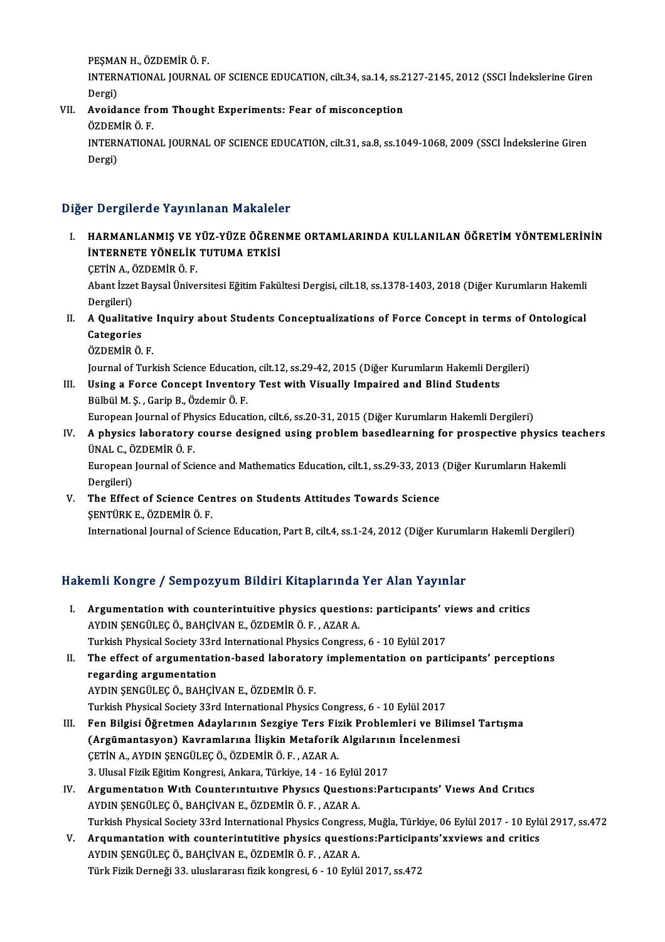PEŞMAN H., ÖZDEMİR Ö. F.

PEŞMAN H., ÖZDEMİR Ö. F.<br>INTERNATIONAL JOURNAL OF SCIENCE EDUCATION, cilt.34, sa.14, ss.2127-2145, 2012 (SSCI İndekslerine Giren PEŞMA<br>INTERI<br>Dergi)<br>Aveide INTERNATIONAL JOURNAL OF SCIENCE EDUCATION, cilt.34, sa.14, ss.2<br>Dergi)<br>VII. Avoidance from Thought Experiments: Fear of misconception<br>ÖZDEMİP Ö E

- Dergi)<br><mark>Avoidance fr</mark>e<br>ÖZDEMİR Ö. F.<br>INTERNATION
	-

Avoidance from Thought Experiments: Fear of misconception<br>ÖZDEMİR Ö. F.<br>INTERNATIONAL JOURNAL OF SCIENCE EDUCATION, cilt.31, sa.8, ss.1049-1068, 2009 (SSCI İndekslerine Giren<br>Persi) ÖZDEM<br>INTERI<br>Dergi)

## Dergi)<br>Diğer Dergilerde Yayınlanan Makaleler

- Iğer Dergilerde Yayınlanan Makaleler<br>I. HARMANLANMIŞ VE YÜZ-YÜZE ÖĞRENME ORTAMLARINDA KULLANILAN ÖĞRETİM YÖNTEMLERİNİN<br>İNTERNETE YÖNELİK TUTUMA ETKİSİ I DÖLEMÖLLƏ TAJIMAMAM MARAROM<br>HARMANLANMIŞ VE YÜZ-YÜZE ÖĞREN<br>İNTERNETE YÖNELİK TUTUMA ETKİSİ HARMANLANMIŞ VE Y<br>İNTERNETE YÖNELİK<br>ÇETİN A., ÖZDEMİR Ö. F.<br>Abant İzrat Baycal Üniya
	- CETİN A. ÖZDEMİR Ö. F.

İNTERNETE YÖNELİK TUTUMA ETKİSİ<br>ÇETİN A., ÖZDEMİR Ö. F.<br>Abant İzzet Baysal Üniversitesi Eğitim Fakültesi Dergisi, cilt.18, ss.1378-1403, 2018 (Diğer Kurumların Hakemli<br>Dergileri) Abant İzzet Baysal Üniversitesi Eğitim Fakültesi Dergisi, cilt.18, ss.1378-1403, 2018 (Diğer Kurumların Hakemli<br>Dergileri)<br>II. A Qualitative Inquiry about Students Conceptualizations of Force Concept in terms of Ontologica

- Dergileri)<br>A Qualitativ<br>Categories<br>ÖZDEMİR Ö A Qualitative<br>Categories<br>ÖZDEMİR Ö. F.<br>Journal of Turl Categories<br>ÖZDEMİR Ö. F.<br>Journal of Turkish Science Education, cilt.12, ss.29-42, 2015 (Diğer Kurumların Hakemli Dergileri)
	-

ÖZDEMİR Ö. F.<br>Journal of Turkish Science Education, cilt.12, ss.29-42, 2015 (Diğer Kurumların Hakemli Der<br>III. Using a Force Concept Inventory Test with Visually Impaired and Blind Students<br>Pülbül M.S. Carin B. Özdemir Ö. Journal of Turkish Science Educatio<br>Using a Force Concept Inventor<br>Bülbül M. Ş. , Garip B., Özdemir Ö. F.<br>Furonean Journal of Physics Educat Bülbül M. Ş. , Garip B., Özdemir Ö. F.<br>European Journal of Physics Education, cilt.6, ss.20-31, 2015 (Diğer Kurumların Hakemli Dergileri) Bülbül M. Ş. , Garip B., Özdemir Ö. F.<br>European Journal of Physics Education, cilt.6, ss.20-31, 2015 (Diğer Kurumların Hakemli Dergileri)<br>IV. A physics laboratory course designed using problem basedlearning for prospec

## European Journal of Phy<br>**A physics laboratory<br>ÜNAL C., ÖZDEMİR Ö. F.**<br>Furopean Journal of Sci A physics laboratory course designed using problem basedlearning for prospective physics to<br>ÜNAL C., ÖZDEMİR Ö. F.<br>European Journal of Science and Mathematics Education, cilt.1, ss.29-33, 2013 (Diğer Kurumların Hakemli<br>Der

ÜNAL C., Ö<br>European<br>Dergileri)<br>The Effec European Journal of Science and Mathematics Education, cilt.1, ss.29-33, 2013<br>Dergileri)<br>V. The Effect of Science Centres on Students Attitudes Towards Science<br>SENTUDE E ÖZDEMIR Ö E

Dergileri)<br>V. The Effect of Science Centres on Students Attitudes Towards Science<br>SENTÜRK E., ÖZDEMİR Ö. F.

International Journal of Science Education, Part B, cilt.4, ss.1-24, 2012 (Diğer Kurumların Hakemli Dergileri)

## Hakemli Kongre / Sempozyum Bildiri Kitaplarında Yer Alan Yayınlar

akemli Kongre / Sempozyum Bildiri Kitaplarında Yer Alan Yayınlar<br>I. Argumentation with counterintuitive physics questions: participants' views and critics<br>AYDIN SENCÜLEC Ö, BAHCİVAN E, ÖZDEMİR Ö, E, AZAR A Argumentation with counterintuitive physics question<br>AYDIN ŞENGÜLEÇ Ö., BAHÇİVAN E., ÖZDEMİR Ö. F. , AZAR A.<br>Turkich Physical Society 33rd International Physics Congress Argumentation with counterintuitive physics questions: participants' v<br>AYDIN ŞENGÜLEÇ Ö., BAHÇİVAN E., ÖZDEMİR Ö. F. , AZAR A.<br>Turkish Physical Society 33rd International Physics Congress, 6 - 10 Eylül 2017<br>The effect of e AYDIN ŞENGÜLEÇ Ö., BAHÇİVAN E., ÖZDEMİR Ö. F. , AZAR A.<br>Turkish Physical Society 33rd International Physics Congress, 6 - 10 Eylül 2017<br>II. The effect of argumentation-based laboratory implementation on participants' perce **Turkish Physical Society 33rd<br>The effect of argumentation<br>regarding argumentation<br>AVDIN SENCÜLEC Ö. BAHCÜ** AYDINŞENGÜLEÇÖ.,BAHÇİVANE.,ÖZDEMİRÖ.F. Turkish Physical Society 33rd International Physics Congress, 6 - 10 Eylül 2017 III. Fen Bilgisi Öğretmen Adaylarının Sezgiye Ters Fizik Problemleri ve Bilimsel Tartışma Turkish Physical Society 33rd International Physics Congress, 6 - 10 Eylül 2017<br>Fen Bilgisi Öğretmen Adaylarının Sezgiye Ters Fizik Problemleri ve Bilim<br>(Argümantasyon) Kavramlarına İlişkin Metaforik Algılarının İncelenmes Fen Bilgisi Öğretmen Adaylarının Sezgiye Ters Fiz<br>(Argümantasyon) Kavramlarına İlişkin Metaforik<br>ÇETİN A., AYDIN ŞENGÜLEÇ Ö., ÖZDEMİR Ö. F. , AZAR A.<br>2. Ulucel Fizik Fğitim Kongresi, Ankara Türkiye, 14., 16. (Argümantasyon) Kavramlarına İlişkin Metaforik Algılarını<br>ÇETİN A., AYDIN ŞENGÜLEÇ Ö., ÖZDEMİR Ö. F. , AZAR A.<br>3. Ulusal Fizik Eğitim Kongresi, Ankara, Türkiye, 14 - 16 Eylül 2017<br>Argumantatıon With Countanintiviye, Physic CETİN A., AYDIN ŞENGÜLEÇ Ö., ÖZDEMİR Ö. F. , AZAR A.<br>3. Ulusal Fizik Eğitim Kongresi, Ankara, Türkiye, 14 - 16 Eylül 2017<br>IV. Argumentatıon Wıth Counterintuitive Physics Questions:Participants' Views And Critics 3. Ulusal Fizik Eğitim Kongresi, Ankara, Türkiye, 14 - 16 Eylül<br><mark>Argumentatıon Wıth Counterintuitive Physics Questio</mark><br>AYDIN ŞENGÜLEÇ Ö., BAHÇİVAN E., ÖZDEMİR Ö. F. , AZAR A.<br>Turkish Physisal Sosisty 22rd International Phys AYDIN ŞENGÜLEÇ Ö., BAHÇİVAN E., ÖZDEMİR Ö. F. , AZAR A.<br>Turkish Physical Society 33rd International Physics Congress, Muğla, Türkiye, 06 Eylül 2017 - 10 Eylül 2917, ss.472 AYDIN ȘENGÜLEÇ Ö., BAHÇİVAN E., ÖZDEMİR Ö. F. , AZAR A.<br>Turkish Physical Society 33rd International Physics Congress, Muğla, Türkiye, 06 Eylül 2017 - 10 Eylü<br>V. Arqumantation with counterintutitive physics questions:Partic Turkish Physical Society 33rd International Physics Congress<br>Arqumantation with counterintutitive physics questio<br>AYDIN ŞENGÜLEÇ Ö., BAHÇİVAN E., ÖZDEMİR Ö. F. , AZAR A.<br>Türk Firik Derneği 32. uluşlararası fizik kongresi, Arqumantation with counterintutitive physics questions:Participa<br>AYDIN ŞENGÜLEÇ Ö., BAHÇİVAN E., ÖZDEMİR Ö. F. , AZAR A.<br>Türk Fizik Derneği 33. uluslararası fizik kongresi, 6 - 10 Eylül 2017, ss.472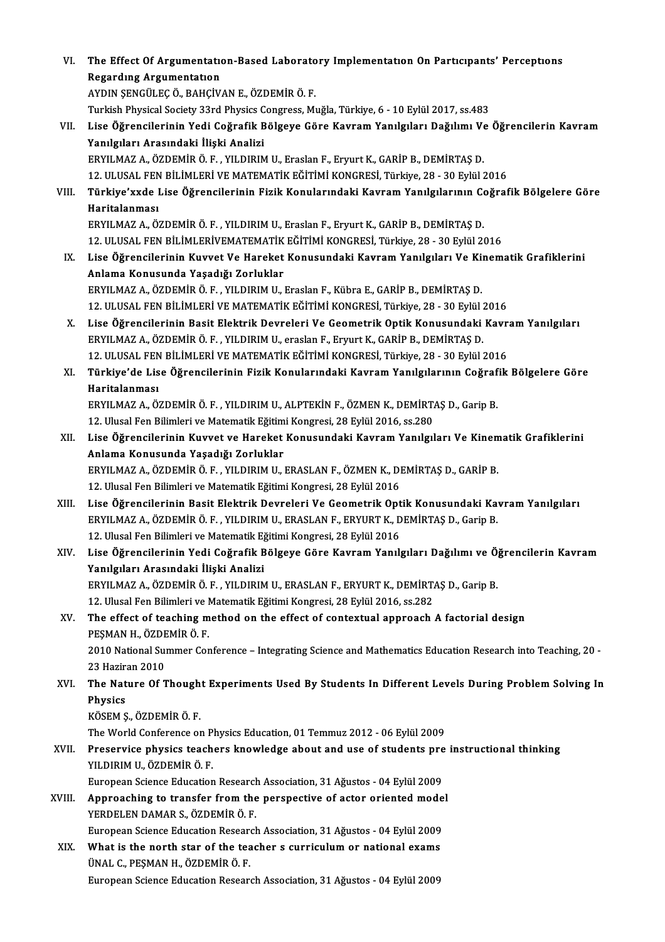| VI.    | The Effect Of Argumentation-Based Laboratory Implementation On Participants' Perceptions                          |
|--------|-------------------------------------------------------------------------------------------------------------------|
|        | <b>Regarding Argumentation</b>                                                                                    |
|        | AYDIN ŞENGÜLEÇ Ö., BAHÇİVAN E., ÖZDEMİR Ö. F.                                                                     |
|        | Turkish Physical Society 33rd Physics Congress, Muğla, Türkiye, 6 - 10 Eylül 2017, ss.483                         |
| VII.   | Lise Öğrencilerinin Yedi Coğrafik Bölgeye Göre Kavram Yanılgıları Dağılımı Ve Öğrencilerin Kavram                 |
|        | Yanılgıları Arasındaki İlişki Analizi                                                                             |
|        | ERYILMAZ A., ÖZDEMİR Ö. F., YILDIRIM U., Eraslan F., Eryurt K., GARİP B., DEMİRTAŞ D.                             |
|        | 12. ULUSAL FEN BİLİMLERİ VE MATEMATİK EĞİTİMİ KONGRESİ, Türkiye, 28 - 30 Eylül 2016                               |
| VIII.  | Türkiye'xxde Lise Öğrencilerinin Fizik Konularındaki Kavram Yanılgılarının Coğrafik Bölgelere Göre                |
|        | Haritalanması                                                                                                     |
|        | ERYILMAZ A., ÖZDEMİR Ö. F., YILDIRIM U., Eraslan F., Eryurt K., GARİP B., DEMİRTAŞ D.                             |
|        | 12. ULUSAL FEN BİLİMLERİVEMATEMATİK EĞİTİMİ KONGRESİ, Türkiye, 28 - 30 Eylül 2016                                 |
| IX.    | Lise Öğrencilerinin Kuvvet Ve Hareket Konusundaki Kavram Yanılgıları Ve Kinematik Grafiklerini                    |
|        | Anlama Konusunda Yaşadığı Zorluklar                                                                               |
|        | ERYILMAZ A., ÖZDEMİR Ö. F., YILDIRIM U., Eraslan F., Kübra E., GARİP B., DEMİRTAŞ D.                              |
|        | 12. ULUSAL FEN BİLİMLERİ VE MATEMATİK EĞİTİMİ KONGRESİ, Türkiye, 28 - 30 Eylül 2016                               |
| Χ.     | Lise Öğrencilerinin Basit Elektrik Devreleri Ve Geometrik Optik Konusundaki Kavram Yanılgıları                    |
|        | ERYILMAZ A., ÖZDEMİR Ö. F., YILDIRIM U., eraslan F., Eryurt K., GARİP B., DEMİRTAŞ D.                             |
|        | 12. ULUSAL FEN BİLİMLERİ VE MATEMATİK EĞİTİMİ KONGRESİ, Türkiye, 28 - 30 Eylül 2016                               |
| XI.    | Türkiye'de Lise Öğrencilerinin Fizik Konularındaki Kavram Yanılgılarının Coğrafik Bölgelere Göre<br>Haritalanması |
|        | ERYILMAZ A., ÖZDEMİR Ö. F., YILDIRIM U., ALPTEKİN F., ÖZMEN K., DEMİRTAŞ D., Garip B.                             |
|        | 12. Ulusal Fen Bilimleri ve Matematik Eğitimi Kongresi, 28 Eylül 2016, ss.280                                     |
| XII.   | Lise Öğrencilerinin Kuvvet ve Hareket Konusundaki Kavram Yanılgıları Ve Kinematik Grafiklerini                    |
|        | Anlama Konusunda Yaşadığı Zorluklar                                                                               |
|        | ERYILMAZ A., ÖZDEMİR Ö. F., YILDIRIM U., ERASLAN F., ÖZMEN K., DEMİRTAŞ D., GARİP B.                              |
|        | 12. Ulusal Fen Bilimleri ve Matematik Eğitimi Kongresi, 28 Eylül 2016                                             |
| XIII.  | Lise Öğrencilerinin Basit Elektrik Devreleri Ve Geometrik Optik Konusundaki Kavram Yanılgıları                    |
|        | ERYILMAZ A., ÖZDEMİR Ö. F., YILDIRIM U., ERASLAN F., ERYURT K., DEMİRTAŞ D., Garip B.                             |
|        | 12. Ulusal Fen Bilimleri ve Matematik Eğitimi Kongresi, 28 Eylül 2016                                             |
| XIV.   | Lise Öğrencilerinin Yedi Coğrafik Bölgeye Göre Kavram Yanılgıları Dağılımı ve Öğrencilerin Kavram                 |
|        | Yanılgıları Arasındaki İlişki Analizi                                                                             |
|        | ERYILMAZ A., ÖZDEMİR Ö. F., YILDIRIM U., ERASLAN F., ERYURT K., DEMİRTAŞ D., Garip B.                             |
|        | 12. Ulusal Fen Bilimleri ve Matematik Eğitimi Kongresi, 28 Eylül 2016, ss.282                                     |
| XV.    | The effect of teaching method on the effect of contextual approach A factorial design                             |
|        | PEŞMAN H., ÖZDEMİR Ö. F.                                                                                          |
|        | 2010 National Summer Conference - Integrating Science and Mathematics Education Research into Teaching, 20 -      |
|        | 23 Haziran 2010                                                                                                   |
| XVI.   | The Nature Of Thought Experiments Used By Students In Different Levels During Problem Solving In                  |
|        | Physics<br>KÖSEM Ş, ÖZDEMİR Ö F.                                                                                  |
|        | The World Conference on Physics Education, 01 Temmuz 2012 - 06 Eylül 2009                                         |
| XVII.  | Preservice physics teachers knowledge about and use of students pre instructional thinking                        |
|        | YILDIRIM U, ÖZDEMİR Ö. F.                                                                                         |
|        | European Science Education Research Association, 31 Ağustos - 04 Eylül 2009                                       |
| XVIII. | Approaching to transfer from the perspective of actor oriented model                                              |
|        | YERDELEN DAMAR S., ÖZDEMİR Ö. F.                                                                                  |
|        | European Science Education Research Association, 31 Ağustos - 04 Eylül 2009                                       |
| XIX.   | What is the north star of the teacher s curriculum or national exams                                              |
|        | ÜNAL C., PEŞMAN H., ÖZDEMİR Ö. F.                                                                                 |
|        | European Science Education Research Association, 31 Ağustos - 04 Eylül 2009                                       |
|        |                                                                                                                   |